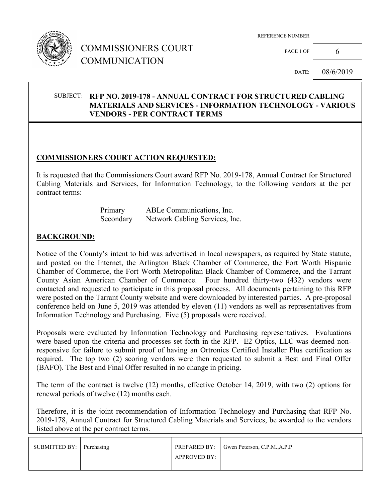

## COMMISSIONERS COURT COMMUNICATION

REFERENCE NUMBER

PAGE 1 OF 6

DATE: 08/6/2019

#### SUBJECT: **RFP NO. 2019-178 - ANNUAL CONTRACT FOR STRUCTURED CABLING MATERIALS AND SERVICES - INFORMATION TECHNOLOGY - VARIOUS VENDORS - PER CONTRACT TERMS**

### **COMMISSIONERS COURT ACTION REQUESTED:**

It is requested that the Commissioners Court award RFP No. 2019-178, Annual Contract for Structured Cabling Materials and Services, for Information Technology, to the following vendors at the per contract terms:

| Primary   | ABLe Communications, Inc.      |
|-----------|--------------------------------|
| Secondary | Network Cabling Services, Inc. |

#### **BACKGROUND:**

Notice of the County's intent to bid was advertised in local newspapers, as required by State statute, and posted on the Internet, the Arlington Black Chamber of Commerce, the Fort Worth Hispanic Chamber of Commerce, the Fort Worth Metropolitan Black Chamber of Commerce, and the Tarrant County Asian American Chamber of Commerce. Four hundred thirty-two (432) vendors were contacted and requested to participate in this proposal process. All documents pertaining to this RFP were posted on the Tarrant County website and were downloaded by interested parties. A pre-proposal conference held on June 5, 2019 was attended by eleven (11) vendors as well as representatives from Information Technology and Purchasing. Five (5) proposals were received.

Proposals were evaluated by Information Technology and Purchasing representatives. Evaluations were based upon the criteria and processes set forth in the RFP. E2 Optics, LLC was deemed nonresponsive for failure to submit proof of having an Ortronics Certified Installer Plus certification as required. The top two (2) scoring vendors were then requested to submit a Best and Final Offer (BAFO). The Best and Final Offer resulted in no change in pricing.

The term of the contract is twelve (12) months, effective October 14, 2019, with two (2) options for renewal periods of twelve (12) months each.

Therefore, it is the joint recommendation of Information Technology and Purchasing that RFP No. 2019-178, Annual Contract for Structured Cabling Materials and Services, be awarded to the vendors listed above at the per contract terms.

| SUBMITTED BY: Purchasing | <b>PREPARED BY:</b> Gwen Peterson, C.P.M., A.P.P |
|--------------------------|--------------------------------------------------|
|                          |                                                  |
|                          | APPROVED BY:                                     |